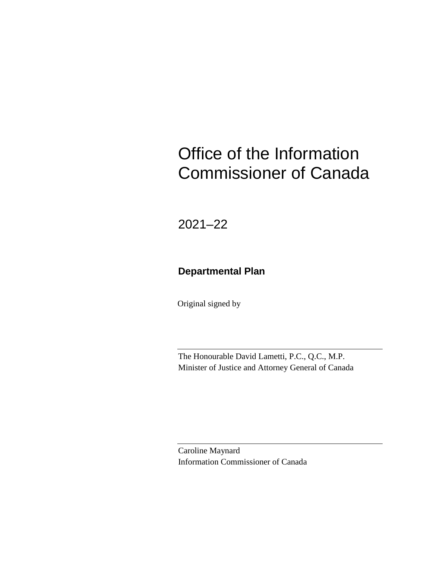# Office of the Information Commissioner of Canada

2021–22

### **Departmental Plan**

Original signed by

The Honourable David Lametti, P.C., Q.C., M.P. Minister of Justice and Attorney General of Canada

Caroline Maynard Information Commissioner of Canada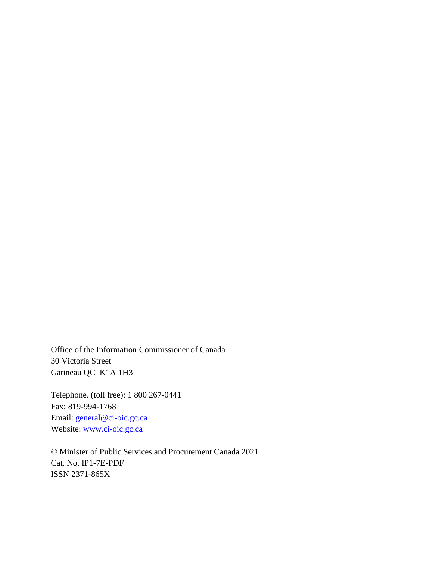Office of the Information Commissioner of Canada 30 Victoria Street Gatineau QC K1A 1H3

Telephone. (toll free): 1 800 267-0441 Fax: 819-994-1768 Email: [general@ci-oic.gc.ca](mailto:general@ci-oic.gc.ca) Website: [www.ci-oic.gc.ca](http://www.ci-oic.gc.ca/)

© Minister of Public Services and Procurement Canada 2021 Cat. No. IP1-7E-PDF ISSN 2371-865X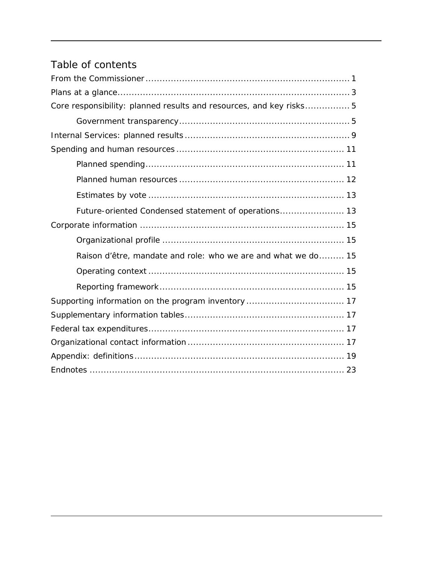# Table of contents

| Core responsibility: planned results and resources, and key risks 5 |
|---------------------------------------------------------------------|
|                                                                     |
|                                                                     |
|                                                                     |
|                                                                     |
|                                                                     |
|                                                                     |
| Future-oriented Condensed statement of operations 13                |
|                                                                     |
|                                                                     |
| Raison d'être, mandate and role: who we are and what we do 15       |
|                                                                     |
|                                                                     |
|                                                                     |
|                                                                     |
|                                                                     |
|                                                                     |
|                                                                     |
|                                                                     |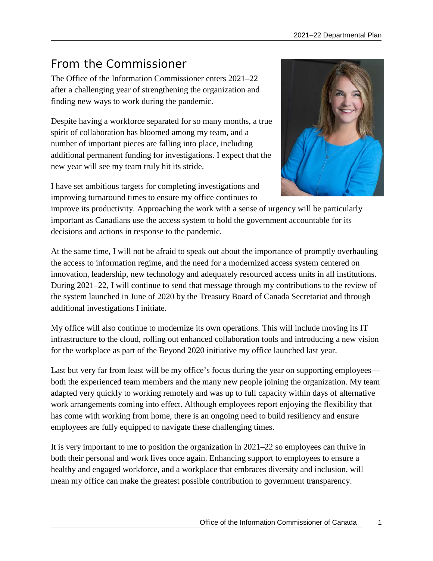# <span id="page-4-0"></span>From the Commissioner

The Office of the Information Commissioner enters 2021–22 after a challenging year of strengthening the organization and finding new ways to work during the pandemic.

Despite having a workforce separated for so many months, a true spirit of collaboration has bloomed among my team, and a number of important pieces are falling into place, including additional permanent funding for investigations. I expect that the new year will see my team truly hit its stride.



I have set ambitious targets for completing investigations and improving turnaround times to ensure my office continues to

improve its productivity. Approaching the work with a sense of urgency will be particularly important as Canadians use the access system to hold the government accountable for its decisions and actions in response to the pandemic.

At the same time, I will not be afraid to speak out about the importance of promptly overhauling the access to information regime, and the need for a modernized access system centered on innovation, leadership, new technology and adequately resourced access units in all institutions. During 2021–22, I will continue to send that message through my contributions to the review of the system launched in June of 2020 by the Treasury Board of Canada Secretariat and through additional investigations I initiate.

My office will also continue to modernize its own operations. This will include moving its IT infrastructure to the cloud, rolling out enhanced collaboration tools and introducing a new vision for the workplace as part of the Beyond 2020 initiative my office launched last year.

Last but very far from least will be my office's focus during the year on supporting employees both the experienced team members and the many new people joining the organization. My team adapted very quickly to working remotely and was up to full capacity within days of alternative work arrangements coming into effect. Although employees report enjoying the flexibility that has come with working from home, there is an ongoing need to build resiliency and ensure employees are fully equipped to navigate these challenging times.

It is very important to me to position the organization in 2021–22 so employees can thrive in both their personal and work lives once again. Enhancing support to employees to ensure a healthy and engaged workforce, and a workplace that embraces diversity and inclusion, will mean my office can make the greatest possible contribution to government transparency.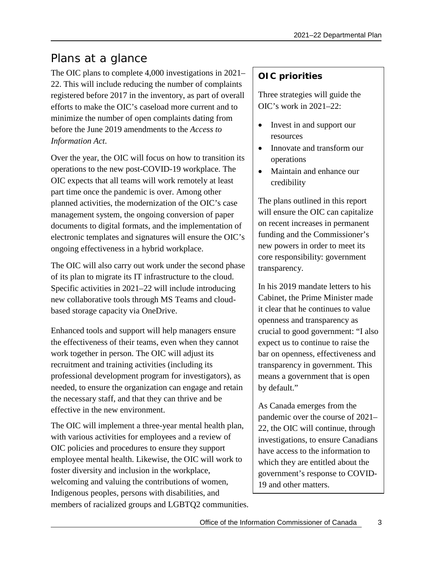# <span id="page-6-0"></span>Plans at a glance

The OIC plans to complete 4,000 investigations in 2021– 22. This will include reducing the number of complaints registered before 2017 in the inventory, as part of overall efforts to make the OIC's caseload more current and to minimize the number of open complaints dating from before the June 2019 amendments to the *Access to Information Act*.

Over the year, the OIC will focus on how to transition its operations to the new post-COVID-19 workplace. The OIC expects that all teams will work remotely at least part time once the pandemic is over. Among other planned activities, the modernization of the OIC's case management system, the ongoing conversion of paper documents to digital formats, and the implementation of electronic templates and signatures will ensure the OIC's ongoing effectiveness in a hybrid workplace.

The OIC will also carry out work under the second phase of its plan to migrate its IT infrastructure to the cloud. Specific activities in 2021–22 will include introducing new collaborative tools through MS Teams and cloudbased storage capacity via OneDrive.

Enhanced tools and support will help managers ensure the effectiveness of their teams, even when they cannot work together in person. The OIC will adjust its recruitment and training activities (including its professional development program for investigators), as needed, to ensure the organization can engage and retain the necessary staff, and that they can thrive and be effective in the new environment.

The OIC will implement a three-year mental health plan, with various activities for employees and a review of OIC policies and procedures to ensure they support employee mental health. Likewise, the OIC will work to foster diversity and inclusion in the workplace, welcoming and valuing the contributions of women, Indigenous peoples, persons with disabilities, and members of racialized groups and LGBTQ2 communities.

### **OIC priorities**

Three strategies will guide the OIC's work in 2021–22:

- Invest in and support our resources
- Innovate and transform our operations
- Maintain and enhance our credibility

The plans outlined in this report will ensure the OIC can capitalize on recent increases in permanent funding and the Commissioner's new powers in order to meet its core responsibility: government transparency.

In his 2019 mandate letters to his Cabinet, the Prime Minister made it clear that he continues to value openness and transparency as crucial to good government: "I also expect us to continue to raise the bar on openness, effectiveness and transparency in government. This means a government that is open by default."

As Canada emerges from the pandemic over the course of 2021– 22, the OIC will continue, through investigations, to ensure Canadians have access to the information to which they are entitled about the government's response to COVID-19 and other matters.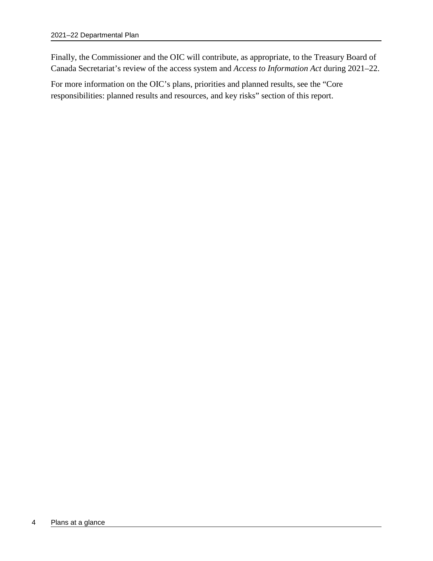Finally, the Commissioner and the OIC will contribute, as appropriate, to the Treasury Board of Canada Secretariat's review of the access system and *Access to Information Act* during 2021–22.

For more information on the OIC's plans, priorities and planned results, see the "Core responsibilities: planned results and resources, and key risks" section of this report.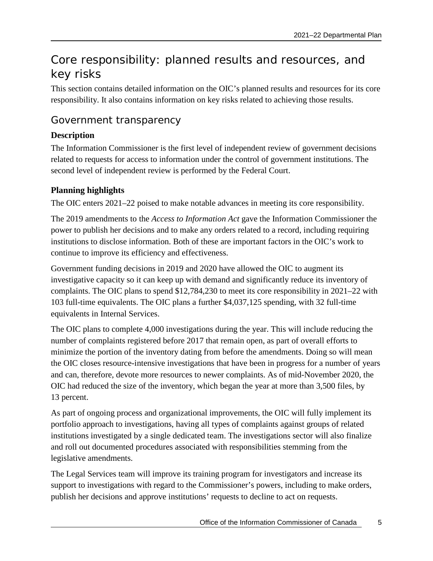# <span id="page-8-0"></span>Core responsibility: planned results and resources, and key risks

This section contains detailed information on the OIC's planned results and resources for its core responsibility. It also contains information on key risks related to achieving those results.

### <span id="page-8-1"></span>Government transparency

#### **Description**

The Information Commissioner is the first level of independent review of government decisions related to requests for access to information under the control of government institutions. The second level of independent review is performed by the Federal Court.

#### **Planning highlights**

The OIC enters 2021–22 poised to make notable advances in meeting its core responsibility.

The 2019 amendments to the *Access to Information Act* gave the Information Commissioner the power to publish her decisions and to make any orders related to a record, including requiring institutions to disclose information. Both of these are important factors in the OIC's work to continue to improve its efficiency and effectiveness.

Government funding decisions in 2019 and 2020 have allowed the OIC to augment its investigative capacity so it can keep up with demand and significantly reduce its inventory of complaints. The OIC plans to spend \$12,784,230 to meet its core responsibility in 2021–22 with 103 full-time equivalents. The OIC plans a further \$4,037,125 spending, with 32 full-time equivalents in Internal Services.

The OIC plans to complete 4,000 investigations during the year. This will include reducing the number of complaints registered before 2017 that remain open, as part of overall efforts to minimize the portion of the inventory dating from before the amendments. Doing so will mean the OIC closes resource-intensive investigations that have been in progress for a number of years and can, therefore, devote more resources to newer complaints. As of mid-November 2020, the OIC had reduced the size of the inventory, which began the year at more than 3,500 files, by 13 percent.

As part of ongoing process and organizational improvements, the OIC will fully implement its portfolio approach to investigations, having all types of complaints against groups of related institutions investigated by a single dedicated team. The investigations sector will also finalize and roll out documented procedures associated with responsibilities stemming from the legislative amendments.

The Legal Services team will improve its training program for investigators and increase its support to investigations with regard to the Commissioner's powers, including to make orders, publish her decisions and approve institutions' requests to decline to act on requests.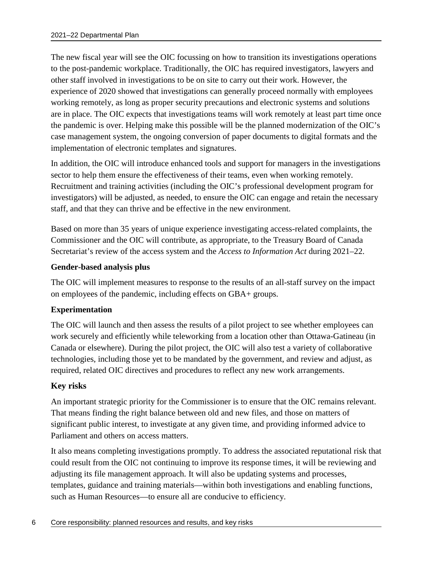The new fiscal year will see the OIC focussing on how to transition its investigations operations to the post-pandemic workplace. Traditionally, the OIC has required investigators, lawyers and other staff involved in investigations to be on site to carry out their work. However, the experience of 2020 showed that investigations can generally proceed normally with employees working remotely, as long as proper security precautions and electronic systems and solutions are in place. The OIC expects that investigations teams will work remotely at least part time once the pandemic is over. Helping make this possible will be the planned modernization of the OIC's case management system, the ongoing conversion of paper documents to digital formats and the implementation of electronic templates and signatures.

In addition, the OIC will introduce enhanced tools and support for managers in the investigations sector to help them ensure the effectiveness of their teams, even when working remotely. Recruitment and training activities (including the OIC's professional development program for investigators) will be adjusted, as needed, to ensure the OIC can engage and retain the necessary staff, and that they can thrive and be effective in the new environment.

Based on more than 35 years of unique experience investigating access-related complaints, the Commissioner and the OIC will contribute, as appropriate, to the Treasury Board of Canada Secretariat's review of the access system and the *Access to Information Act* during 2021–22.

#### **Gender-based analysis plus**

The OIC will implement measures to response to the results of an all-staff survey on the impact on employees of the pandemic, including effects on GBA+ groups.

#### **Experimentation**

The OIC will launch and then assess the results of a pilot project to see whether employees can work securely and efficiently while teleworking from a location other than Ottawa-Gatineau (in Canada or elsewhere). During the pilot project, the OIC will also test a variety of collaborative technologies, including those yet to be mandated by the government, and review and adjust, as required, related OIC directives and procedures to reflect any new work arrangements.

#### **Key risks**

An important strategic priority for the Commissioner is to ensure that the OIC remains relevant. That means finding the right balance between old and new files, and those on matters of significant public interest, to investigate at any given time, and providing informed advice to Parliament and others on access matters.

It also means completing investigations promptly. To address the associated reputational risk that could result from the OIC not continuing to improve its response times, it will be reviewing and adjusting its file management approach. It will also be updating systems and processes, templates, guidance and training materials—within both investigations and enabling functions, such as Human Resources—to ensure all are conducive to efficiency.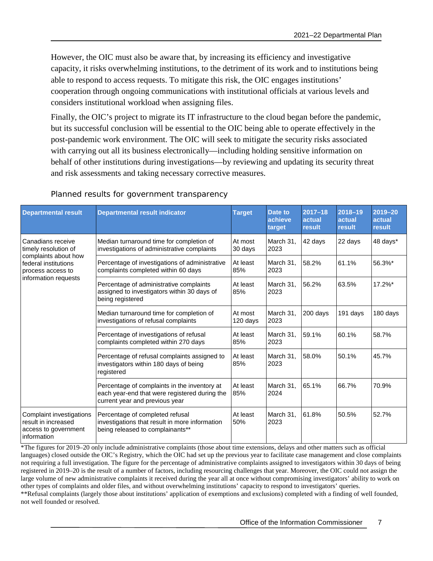However, the OIC must also be aware that, by increasing its efficiency and investigative capacity, it risks overwhelming institutions, to the detriment of its work and to institutions being able to respond to access requests. To mitigate this risk, the OIC engages institutions' cooperation through ongoing communications with institutional officials at various levels and considers institutional workload when assigning files.

Finally, the OIC's project to migrate its IT infrastructure to the cloud began before the pandemic, but its successful conclusion will be essential to the OIC being able to operate effectively in the post-pandemic work environment. The OIC will seek to mitigate the security risks associated with carrying out all its business electronically—including holding sensitive information on behalf of other institutions during investigations—by reviewing and updating its security threat and risk assessments and taking necessary corrective measures.

| <b>Departmental result</b>                                                             | <b>Departmental result indicator</b>                                                                                            | <b>Target</b>       | Date to<br>achieve<br>target | $2017 - 18$<br>actual<br>result | 2018-19<br>actual<br>result | 2019-20<br>actual<br>result |
|----------------------------------------------------------------------------------------|---------------------------------------------------------------------------------------------------------------------------------|---------------------|------------------------------|---------------------------------|-----------------------------|-----------------------------|
| Canadians receive<br>timely resolution of                                              | Median turnaround time for completion of<br>investigations of administrative complaints                                         | At most<br>30 days  | March 31.<br>2023            | 42 days                         | 22 days                     | 48 days*                    |
| complaints about how<br>federal institutions<br>process access to                      | Percentage of investigations of administrative<br>complaints completed within 60 days                                           | At least<br>85%     | March 31.<br>2023            | 58.2%                           | 61.1%                       | 56.3%*                      |
| information requests                                                                   | Percentage of administrative complaints<br>assigned to investigators within 30 days of<br>being registered                      | At least<br>85%     | March 31.<br>2023            | 56.2%                           | 63.5%                       | 17.2%*                      |
|                                                                                        | Median turnaround time for completion of<br>investigations of refusal complaints                                                | At most<br>120 days | March 31.<br>2023            | 200 days                        | 191 days                    | 180 days                    |
|                                                                                        | Percentage of investigations of refusal<br>complaints completed within 270 days                                                 | At least<br>85%     | March 31.<br>2023            | 59.1%                           | 60.1%                       | 58.7%                       |
|                                                                                        | Percentage of refusal complaints assigned to<br>investigators within 180 days of being<br>registered                            | At least<br>85%     | March 31,<br>2023            | 58.0%                           | 50.1%                       | 45.7%                       |
|                                                                                        | Percentage of complaints in the inventory at<br>each year-end that were registered during the<br>current year and previous year | At least<br>85%     | March 31.<br>2024            | 65.1%                           | 66.7%                       | 70.9%                       |
| Complaint investigations<br>result in increased<br>access to government<br>information | Percentage of completed refusal<br>investigations that result in more information<br>being released to complainants**           | At least<br>50%     | March 31.<br>2023            | 61.8%                           | 50.5%                       | 52.7%                       |

Planned results for government transparency

\*The figures for 2019–20 only include administrative complaints (those about time extensions, delays and other matters such as official languages) closed outside the OIC's Registry, which the OIC had set up the previous year to facilitate case management and close complaints not requiring a full investigation. The figure for the percentage of administrative complaints assigned to investigators within 30 days of being registered in 2019–20 is the result of a number of factors, including resourcing challenges that year. Moreover, the OIC could not assign the large volume of new administrative complaints it received during the year all at once without compromising investigators' ability to work on other types of complaints and older files, and without overwhelming institutions' capacity to respond to investigators' queries. \*\*Refusal complaints (largely those about institutions' application of exemptions and exclusions) completed with a finding of well founded, not well founded or resolved.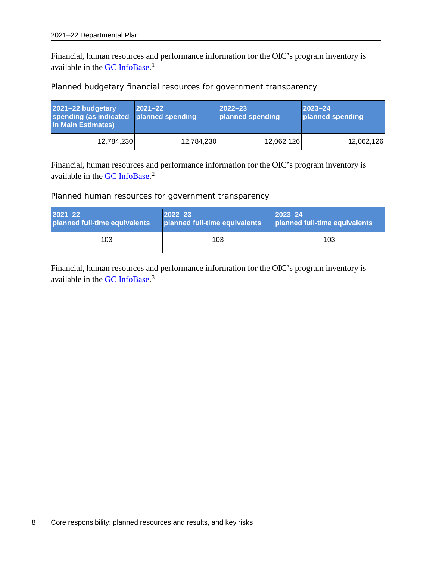Financial, human resources and performance information for the OIC's program inventory is available in the [GC InfoBase.](https://www.tbs-sct.gc.ca/ems-sgd/edb-bdd/index-eng.html)<sup>[1](#page-26-1)</sup>

Planned budgetary financial resources for government transparency

| 2021-22 budgetary<br>spending (as indicated<br>in Main Estimates) | $ 2021 - 22 $<br>planned spending | $ 2022 - 23 $<br>planned spending | $ 2023 - 24 $<br>planned spending |
|-------------------------------------------------------------------|-----------------------------------|-----------------------------------|-----------------------------------|
| 12,784,230                                                        | 12,784,230                        | 12,062,126                        | 12,062,126                        |

Financial, human resources and performance information for the OIC's program inventory is available in the [GC InfoBase.](https://www.tbs-sct.gc.ca/ems-sgd/edb-bdd/index-eng.html)<sup>[2](#page-26-2)</sup>

Planned human resources for government transparency

| <b>2021-22</b>                | $2022 - 23$                   | $2023 - 24$                   |
|-------------------------------|-------------------------------|-------------------------------|
| planned full-time equivalents | planned full-time equivalents | planned full-time equivalents |
| 103                           | 103                           | 103                           |

Financial, human resources and performance information for the OIC's program inventory is available in the [GC InfoBase.](https://www.tbs-sct.gc.ca/ems-sgd/edb-bdd/index-eng.html)<sup>[3](#page-26-3)</sup>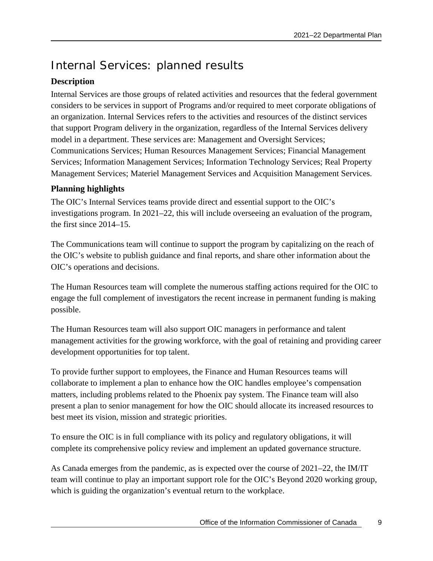# <span id="page-12-0"></span>Internal Services: planned results

#### **Description**

Internal Services are those groups of related activities and resources that the federal government considers to be services in support of Programs and/or required to meet corporate obligations of an organization. Internal Services refers to the activities and resources of the distinct services that support Program delivery in the organization, regardless of the Internal Services delivery model in a department. These services are: Management and Oversight Services; Communications Services; Human Resources Management Services; Financial Management Services; Information Management Services; Information Technology Services; Real Property Management Services; Materiel Management Services and Acquisition Management Services.

#### **Planning highlights**

The OIC's Internal Services teams provide direct and essential support to the OIC's investigations program. In 2021–22, this will include overseeing an evaluation of the program, the first since 2014–15.

The Communications team will continue to support the program by capitalizing on the reach of the OIC's website to publish guidance and final reports, and share other information about the OIC's operations and decisions.

The Human Resources team will complete the numerous staffing actions required for the OIC to engage the full complement of investigators the recent increase in permanent funding is making possible.

The Human Resources team will also support OIC managers in performance and talent management activities for the growing workforce, with the goal of retaining and providing career development opportunities for top talent.

To provide further support to employees, the Finance and Human Resources teams will collaborate to implement a plan to enhance how the OIC handles employee's compensation matters, including problems related to the Phoenix pay system. The Finance team will also present a plan to senior management for how the OIC should allocate its increased resources to best meet its vision, mission and strategic priorities.

To ensure the OIC is in full compliance with its policy and regulatory obligations, it will complete its comprehensive policy review and implement an updated governance structure.

As Canada emerges from the pandemic, as is expected over the course of 2021–22, the IM/IT team will continue to play an important support role for the OIC's Beyond 2020 working group, which is guiding the organization's eventual return to the workplace.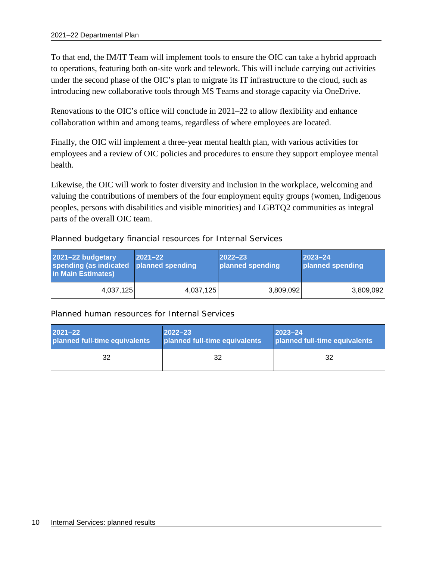To that end, the IM/IT Team will implement tools to ensure the OIC can take a hybrid approach to operations, featuring both on-site work and telework. This will include carrying out activities under the second phase of the OIC's plan to migrate its IT infrastructure to the cloud, such as introducing new collaborative tools through MS Teams and storage capacity via OneDrive.

Renovations to the OIC's office will conclude in 2021–22 to allow flexibility and enhance collaboration within and among teams, regardless of where employees are located.

Finally, the OIC will implement a three-year mental health plan, with various activities for employees and a review of OIC policies and procedures to ensure they support employee mental health.

Likewise, the OIC will work to foster diversity and inclusion in the workplace, welcoming and valuing the contributions of members of the four employment equity groups (women, Indigenous peoples, persons with disabilities and visible minorities) and LGBTQ2 communities as integral parts of the overall OIC team.

Planned budgetary financial resources for Internal Services

| 2021-22 budgetary<br>spending (as indicated<br>in Main Estimates) | $ 2021 - 22 $<br>planned spending | $ 2022 - 23 $<br>planned spending | $2023 - 24$<br>planned spending |
|-------------------------------------------------------------------|-----------------------------------|-----------------------------------|---------------------------------|
| 4,037,125                                                         | 4,037,125                         | 3,809,092                         | 3,809,092                       |

#### Planned human resources for Internal Services

| $2021 - 22$                   | $2022 - 23$                   | $ 2023 - 24 $                 |
|-------------------------------|-------------------------------|-------------------------------|
| planned full-time equivalents | planned full-time equivalents | planned full-time equivalents |
| 32                            | 32                            | 32                            |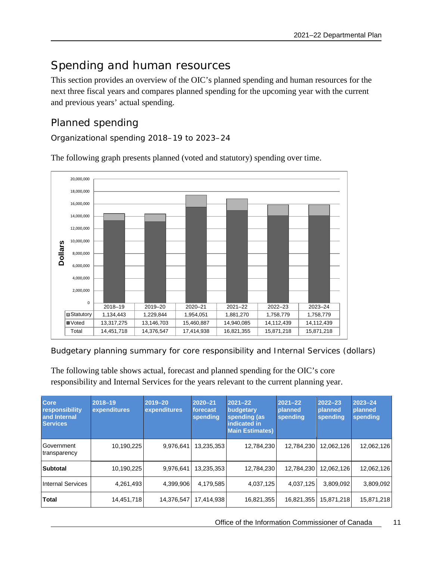# <span id="page-14-0"></span>Spending and human resources

This section provides an overview of the OIC's planned spending and human resources for the next three fiscal years and compares planned spending for the upcoming year with the current and previous years' actual spending.

### <span id="page-14-1"></span>Planned spending

Organizational spending 2018–19 to 2023–24

2018–19 2019–20 2020–21 2021–22 2022–23 2023–24 Statutory | 1,134,443 | 1,229,844 | 1,954,051 | 1,881,270 | 1,758,779 | 1,758,779 Voted | 13,317,275 | 13,146,703 | 15,460,887 | 14,940,085 | 14,112,439 | 14,112,439 Total | 14,451,718 | 14,376,547 | 17,414,938 | 16,821,355 | 15,871,218 | 15,871,218 0 2,000,000 4,000,000 6,000,000 8,000,000 10,000,000 12,000,000 14,000,000 16,000,000 18,000,000 20,000,000 **Dollars**

The following graph presents planned (voted and statutory) spending over time.

Budgetary planning summary for core responsibility and Internal Services (dollars)

The following table shows actual, forecast and planned spending for the OIC's core responsibility and Internal Services for the years relevant to the current planning year.

| <b>Core</b><br>responsibility<br>and Internal<br><b>Services</b> | $2018 - 19$<br>expenditures | 2019-20<br>expenditures | $2020 - 21$<br>forecast<br>spending | $2021 - 22$<br>budgetary<br>spending (as<br>indicated in<br><b>Main Estimates)</b> | $2021 - 22$<br>planned<br>spending | $2022 - 23$<br>planned<br>spending | $2023 - 24$<br>planned<br>spending |
|------------------------------------------------------------------|-----------------------------|-------------------------|-------------------------------------|------------------------------------------------------------------------------------|------------------------------------|------------------------------------|------------------------------------|
| Government<br>transparency                                       | 10,190,225                  | 9,976,641               | 13,235,353                          | 12,784,230                                                                         | 12,784,230                         | 12,062,126                         | 12,062,126                         |
| Subtotal                                                         | 10,190,225                  | 9,976,641               | 13.235.353                          | 12,784,230                                                                         | 12,784,230                         | 12,062,126                         | 12,062,126                         |
| <b>Internal Services</b>                                         | 4,261,493                   | 4,399,906               | 4,179,585                           | 4,037,125                                                                          | 4,037,125                          | 3.809.092                          | 3,809,092                          |
| <b>Total</b>                                                     | 14,451,718                  | 14,376,547              | 17,414,938                          | 16,821,355                                                                         | 16,821,355                         | 15,871,218                         | 15,871,218                         |

Office of the Information Commissioner of Canada 11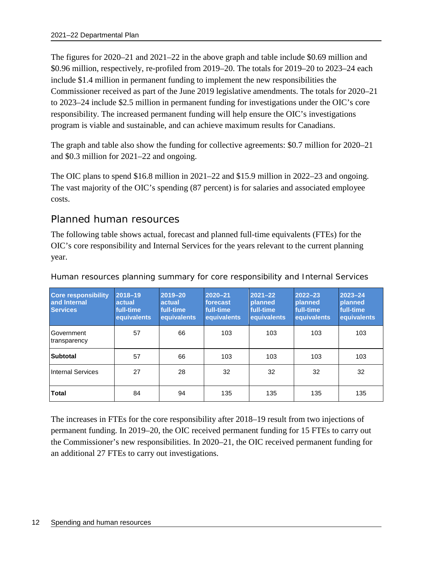The figures for 2020–21 and 2021–22 in the above graph and table include \$0.69 million and \$0.96 million, respectively, re-profiled from 2019–20. The totals for 2019–20 to 2023–24 each include \$1.4 million in permanent funding to implement the new responsibilities the Commissioner received as part of the June 2019 legislative amendments. The totals for 2020–21 to 2023–24 include \$2.5 million in permanent funding for investigations under the OIC's core responsibility. The increased permanent funding will help ensure the OIC's investigations program is viable and sustainable, and can achieve maximum results for Canadians.

The graph and table also show the funding for collective agreements: \$0.7 million for 2020–21 and \$0.3 million for 2021–22 and ongoing.

The OIC plans to spend \$16.8 million in 2021–22 and \$15.9 million in 2022–23 and ongoing. The vast majority of the OIC's spending (87 percent) is for salaries and associated employee costs.

#### <span id="page-15-0"></span>Planned human resources

The following table shows actual, forecast and planned full-time equivalents (FTEs) for the OIC's core responsibility and Internal Services for the years relevant to the current planning year.

| <b>Core responsibility</b><br>and Internal<br><b>Services</b> | 2018-19<br>actual<br>full-time<br>equivalents | 2019-20<br>actual<br>full-time<br><b>equivalents</b> | $2020 - 21$<br>forecast<br>full-time<br><b>equivalents</b> | $2021 - 22$<br>planned<br>full-time<br>equivalents | $2022 - 23$<br>planned<br>full-time<br>equivalents | 2023-24<br><b>planned</b><br>full-time<br>equivalents |
|---------------------------------------------------------------|-----------------------------------------------|------------------------------------------------------|------------------------------------------------------------|----------------------------------------------------|----------------------------------------------------|-------------------------------------------------------|
| Government<br>transparency                                    | 57                                            | 66                                                   | 103                                                        | 103                                                | 103                                                | 103                                                   |
| <b>Subtotal</b>                                               | 57                                            | 66                                                   | 103                                                        | 103                                                | 103                                                | 103                                                   |
| Internal Services                                             | 27                                            | 28                                                   | 32                                                         | 32                                                 | 32                                                 | 32                                                    |
| <b>Total</b>                                                  | 84                                            | 94                                                   | 135                                                        | 135                                                | 135                                                | 135                                                   |

Human resources planning summary for core responsibility and Internal Services

The increases in FTEs for the core responsibility after 2018–19 result from two injections of permanent funding. In 2019–20, the OIC received permanent funding for 15 FTEs to carry out the Commissioner's new responsibilities. In 2020–21, the OIC received permanent funding for an additional 27 FTEs to carry out investigations.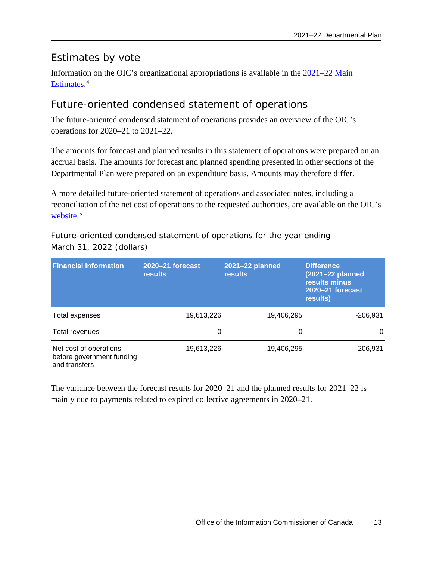### <span id="page-16-0"></span>Estimates by vote

Information on the OIC's organizational appropriations is available in the 2021–22 Main [Estimates](http://www.tbs-sct.gc.ca/hgw-cgf/finances/pgs-pdg/gepme-pdgbpd/index-eng.asp)[.](http://www.tpsgc-pwgsc.gc.ca/recgen/cpc-pac/index-eng.html) [4](#page-26-4)

### <span id="page-16-1"></span>Future-oriented condensed statement of operations

The future-oriented condensed statement of operations provides an overview of the OIC's operations for 2020–21 to 2021–22.

The amounts for forecast and planned results in this statement of operations were prepared on an accrual basis. The amounts for forecast and planned spending presented in other sections of the Departmental Plan were prepared on an expenditure basis. Amounts may therefore differ.

A more detailed future-oriented statement of operations and associated notes, including a reconciliation of the net cost of operations to the requested authorities, are available on the OIC's [website.](https://www.oic-ci.gc.ca/en/resources/reports-publications/2021-2022-future-oriented-statement-operations-unaudited)<sup>[5](#page-26-5)</sup>

Future-oriented condensed statement of operations for the year ending March 31, 2022 (dollars)

| <b>Financial information</b>                                         | 2020-21 forecast<br><b>results</b> | 2021-22 planned<br><b>results</b> | <b>Difference</b><br>(2021-22 planned<br>results minus<br>2020-21 forecast<br>results) |
|----------------------------------------------------------------------|------------------------------------|-----------------------------------|----------------------------------------------------------------------------------------|
| Total expenses                                                       | 19,613,226                         | 19,406,295                        | $-206,931$                                                                             |
| Total revenues                                                       |                                    |                                   |                                                                                        |
| Net cost of operations<br>before government funding<br>and transfers | 19,613,226                         | 19,406,295                        | $-206,931$                                                                             |

The variance between the forecast results for 2020–21 and the planned results for 2021–22 is mainly due to payments related to expired collective agreements in 2020–21.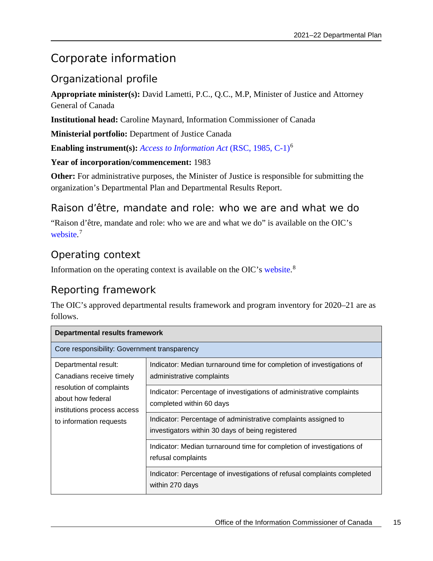# <span id="page-18-0"></span>Corporate information

### <span id="page-18-1"></span>Organizational profile

**Appropriate minister(s):** David Lametti, P.C., Q.C., M.P, Minister of Justice and Attorney General of Canada

**Institutional head:** Caroline Maynard, Information Commissioner of Canada

**Ministerial portfolio:** Department of Justice Canada

**Enabling instrument(s):** *[Access to Information Act](https://laws-lois.justice.gc.ca/eng/acts/a-1/)* (RSC, 1985, C-1)[6](#page-26-6)

**Year of incorporation/commencement:** 1983

**Other:** For administrative purposes, the Minister of Justice is responsible for submitting the organization's Departmental Plan and Departmental Results Report.

#### <span id="page-18-2"></span>Raison d'être, mandate and role: who we are and what we do

"Raison d'être, mandate and role: who we are and what we do" is available on the OIC's [website.](https://www.oic-ci.gc.ca/en/resources/reports-publications/2021-22-raison-detre-mandate-and-role-who-we-are-and-what-we-do)<sup>[7](#page-26-7)</sup>

### <span id="page-18-3"></span>Operating context

Information on the operating context is available on the OIC's [website.](https://www.oic-ci.gc.ca/en/resources/reports-publications/2021-22-operating-context)<sup>[8](#page-26-8)</sup>

### <span id="page-18-4"></span>Reporting framework

The OIC's approved departmental results framework and program inventory for 2020–21 are as follows.

| <b>Departmental results framework</b>                                        |                                                                                                                    |  |  |  |  |
|------------------------------------------------------------------------------|--------------------------------------------------------------------------------------------------------------------|--|--|--|--|
| Core responsibility: Government transparency                                 |                                                                                                                    |  |  |  |  |
| Departmental result:<br>Canadians receive timely                             | Indicator: Median turnaround time for completion of investigations of<br>administrative complaints                 |  |  |  |  |
| resolution of complaints<br>about how federal<br>institutions process access | Indicator: Percentage of investigations of administrative complaints<br>completed within 60 days                   |  |  |  |  |
| to information requests                                                      | Indicator: Percentage of administrative complaints assigned to<br>investigators within 30 days of being registered |  |  |  |  |
|                                                                              | Indicator: Median turnaround time for completion of investigations of<br>refusal complaints                        |  |  |  |  |
|                                                                              | Indicator: Percentage of investigations of refusal complaints completed<br>within 270 days                         |  |  |  |  |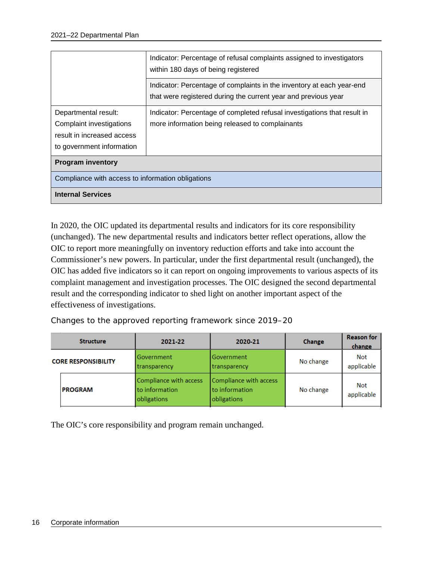|                                                                                                             | Indicator: Percentage of refusal complaints assigned to investigators<br>within 180 days of being registered                            |  |  |  |  |  |
|-------------------------------------------------------------------------------------------------------------|-----------------------------------------------------------------------------------------------------------------------------------------|--|--|--|--|--|
|                                                                                                             | Indicator: Percentage of complaints in the inventory at each year-end<br>that were registered during the current year and previous year |  |  |  |  |  |
| Departmental result:<br>Complaint investigations<br>result in increased access<br>to government information | Indicator: Percentage of completed refusal investigations that result in<br>more information being released to complainants             |  |  |  |  |  |
| <b>Program inventory</b>                                                                                    |                                                                                                                                         |  |  |  |  |  |
|                                                                                                             | Compliance with access to information obligations                                                                                       |  |  |  |  |  |
| <b>Internal Services</b>                                                                                    |                                                                                                                                         |  |  |  |  |  |

In 2020, the OIC updated its departmental results and indicators for its core responsibility (unchanged). The new departmental results and indicators better reflect operations, allow the OIC to report more meaningfully on inventory reduction efforts and take into account the Commissioner's new powers. In particular, under the first departmental result (unchanged), the OIC has added five indicators so it can report on ongoing improvements to various aspects of its complaint management and investigation processes. The OIC designed the second departmental result and the corresponding indicator to shed light on another important aspect of the effectiveness of investigations.

Changes to the approved reporting framework since 2019–20

| <b>Structure</b>           |                | 2021-22                                                 | 2020-21                                                 | Change    | <b>Reason for</b><br>change |
|----------------------------|----------------|---------------------------------------------------------|---------------------------------------------------------|-----------|-----------------------------|
| <b>CORE RESPONSIBILITY</b> |                | Government<br>transparency                              | Government<br>transparency                              | No change | Not<br>applicable           |
|                            | <b>PROGRAM</b> | Compliance with access<br>to information<br>obligations | Compliance with access<br>to information<br>obligations | No change | <b>Not</b><br>applicable    |

The OIC's core responsibility and program remain unchanged.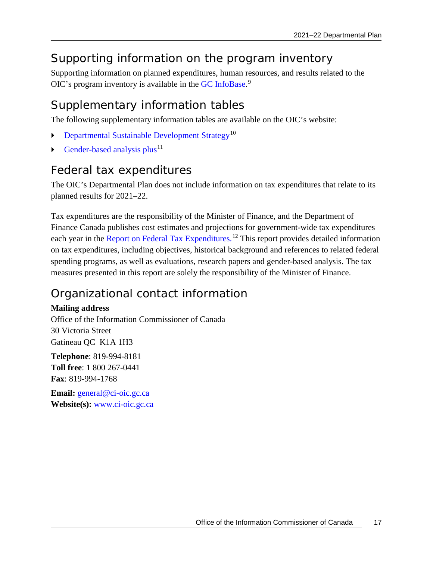# <span id="page-20-0"></span>Supporting information on the program inventory

Supporting information on planned expenditures, human resources, and results related to the OIC's program inventory is available in the [GC InfoBase.](https://www.tbs-sct.gc.ca/ems-sgd/edb-bdd/index-eng.html)<sup>[9](#page-26-9)</sup>

# <span id="page-20-1"></span>Supplementary information tables

The following supplementary information tables are available on the OIC's website:

- [Departmental Sustainable Development Strategy](https://www.oic-ci.gc.ca/en/resources/reports-publications/2021-22-departmental-sustainable-development-strategy)[10](#page-26-10)
- [Gender-based analysis plus](https://www.oic-ci.gc.ca/en/resources/reports-publications/2021-22-gender-based-analysis-plus)<sup>[11](#page-26-11)</sup>

### <span id="page-20-2"></span>Federal tax expenditures

The OIC's Departmental Plan does not include information on tax expenditures that relate to its planned results for 2021–22.

Tax expenditures are the responsibility of the Minister of Finance, and the Department of Finance Canada publishes cost estimates and projections for government-wide tax expenditures each year in the [Report on Federal Tax Expenditures.](https://www.canada.ca/en/department-finance/services/publications/federal-tax-expenditures.html)<sup>[12](#page-26-12)</sup> This report provides detailed information on tax expenditures, including objectives, historical background and references to related federal spending programs, as well as evaluations, research papers and gender-based analysis. The tax measures presented in this report are solely the responsibility of the Minister of Finance.

# <span id="page-20-3"></span>Organizational contact information

#### **Mailing address**

Office of the Information Commissioner of Canada 30 Victoria Street Gatineau QC K1A 1H3

**Telephone**: 819-994-8181 **Toll free**: 1 800 267-0441 **Fax**: 819-994-1768

**Email:** [general@ci-oic.gc.ca](mailto:general@ci-oic.gc.ca) **Website(s):** [www.ci-oic.gc.ca](http://www.ci-oic.gc.ca/)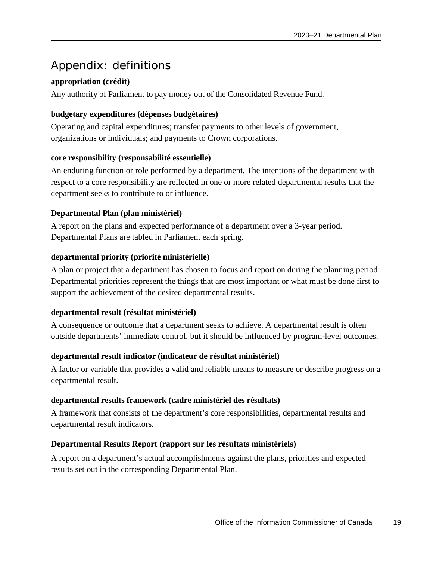# <span id="page-22-0"></span>Appendix: definitions

#### **appropriation (crédit)**

Any authority of Parliament to pay money out of the Consolidated Revenue Fund.

#### **budgetary expenditures (dépenses budgétaires)**

Operating and capital expenditures; transfer payments to other levels of government, organizations or individuals; and payments to Crown corporations.

#### **core responsibility (responsabilité essentielle)**

An enduring function or role performed by a department. The intentions of the department with respect to a core responsibility are reflected in one or more related departmental results that the department seeks to contribute to or influence.

#### **Departmental Plan (plan ministériel)**

A report on the plans and expected performance of a department over a 3-year period. Departmental Plans are tabled in Parliament each spring.

#### **departmental priority (priorité ministérielle)**

A plan or project that a department has chosen to focus and report on during the planning period. Departmental priorities represent the things that are most important or what must be done first to support the achievement of the desired departmental results.

#### **departmental result (résultat ministériel)**

A consequence or outcome that a department seeks to achieve. A departmental result is often outside departments' immediate control, but it should be influenced by program-level outcomes.

#### **departmental result indicator (indicateur de résultat ministériel)**

A factor or variable that provides a valid and reliable means to measure or describe progress on a departmental result.

#### **departmental results framework (cadre ministériel des résultats)**

A framework that consists of the department's core responsibilities, departmental results and departmental result indicators.

#### **Departmental Results Report (rapport sur les résultats ministériels)**

A report on a department's actual accomplishments against the plans, priorities and expected results set out in the corresponding Departmental Plan.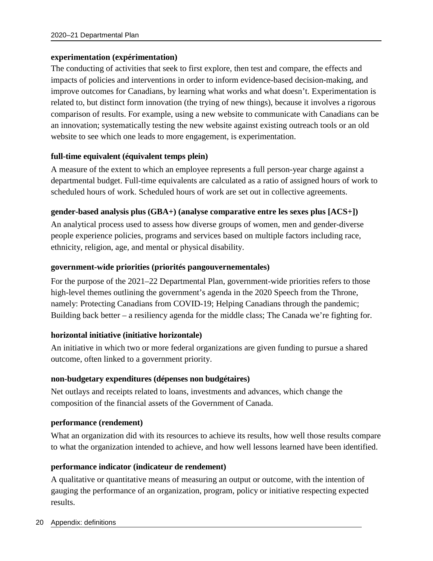#### **experimentation (expérimentation)**

The conducting of activities that seek to first explore, then test and compare, the effects and impacts of policies and interventions in order to inform evidence-based decision-making, and improve outcomes for Canadians, by learning what works and what doesn't. Experimentation is related to, but distinct form innovation (the trying of new things), because it involves a rigorous comparison of results. For example, using a new website to communicate with Canadians can be an innovation; systematically testing the new website against existing outreach tools or an old website to see which one leads to more engagement, is experimentation.

#### **full-time equivalent (équivalent temps plein)**

A measure of the extent to which an employee represents a full person-year charge against a departmental budget. Full-time equivalents are calculated as a ratio of assigned hours of work to scheduled hours of work. Scheduled hours of work are set out in collective agreements.

#### **gender-based analysis plus (GBA+) (analyse comparative entre les sexes plus [ACS+])**

An analytical process used to assess how diverse groups of women, men and gender-diverse people experience policies, programs and services based on multiple factors including race, ethnicity, religion, age, and mental or physical disability.

#### **government-wide priorities (priorités pangouvernementales)**

For the purpose of the 2021–22 Departmental Plan, government-wide priorities refers to those high-level themes outlining the government's agenda in the 2020 Speech from the Throne, namely: Protecting Canadians from COVID-19; Helping Canadians through the pandemic; Building back better – a resiliency agenda for the middle class; The Canada we're fighting for.

#### **horizontal initiative (initiative horizontale)**

An initiative in which two or more federal organizations are given funding to pursue a shared outcome, often linked to a government priority.

#### **non-budgetary expenditures (dépenses non budgétaires)**

Net outlays and receipts related to loans, investments and advances, which change the composition of the financial assets of the Government of Canada.

#### **performance (rendement)**

What an organization did with its resources to achieve its results, how well those results compare to what the organization intended to achieve, and how well lessons learned have been identified.

#### **performance indicator (indicateur de rendement)**

A qualitative or quantitative means of measuring an output or outcome, with the intention of gauging the performance of an organization, program, policy or initiative respecting expected results.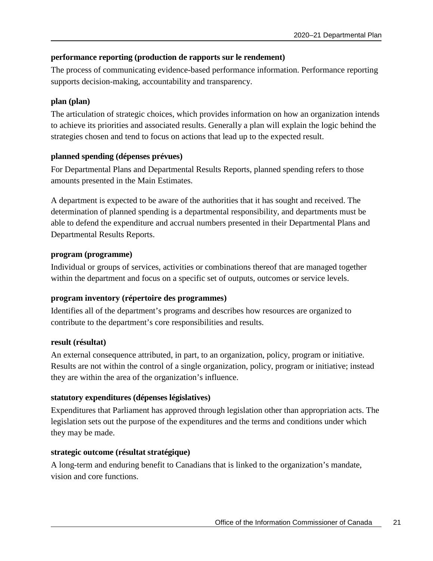#### **performance reporting (production de rapports sur le rendement)**

The process of communicating evidence-based performance information. Performance reporting supports decision-making, accountability and transparency.

#### **plan (plan)**

The articulation of strategic choices, which provides information on how an organization intends to achieve its priorities and associated results. Generally a plan will explain the logic behind the strategies chosen and tend to focus on actions that lead up to the expected result.

#### **planned spending (dépenses prévues)**

For Departmental Plans and Departmental Results Reports, planned spending refers to those amounts presented in the Main Estimates.

A department is expected to be aware of the authorities that it has sought and received. The determination of planned spending is a departmental responsibility, and departments must be able to defend the expenditure and accrual numbers presented in their Departmental Plans and Departmental Results Reports.

#### **program (programme)**

Individual or groups of services, activities or combinations thereof that are managed together within the department and focus on a specific set of outputs, outcomes or service levels.

#### **program inventory (répertoire des programmes)**

Identifies all of the department's programs and describes how resources are organized to contribute to the department's core responsibilities and results.

#### **result (résultat)**

An external consequence attributed, in part, to an organization, policy, program or initiative. Results are not within the control of a single organization, policy, program or initiative; instead they are within the area of the organization's influence.

#### **statutory expenditures (dépenses législatives)**

Expenditures that Parliament has approved through legislation other than appropriation acts. The legislation sets out the purpose of the expenditures and the terms and conditions under which they may be made.

#### **strategic outcome (résultat stratégique)**

A long-term and enduring benefit to Canadians that is linked to the organization's mandate, vision and core functions.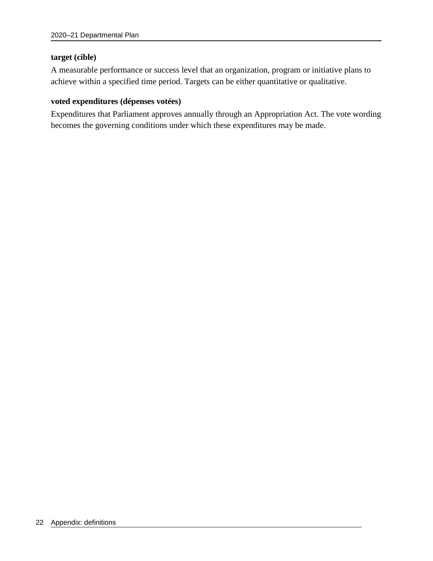#### **target (cible)**

A measurable performance or success level that an organization, program or initiative plans to achieve within a specified time period. Targets can be either quantitative or qualitative.

#### **voted expenditures (dépenses votées)**

Expenditures that Parliament approves annually through an Appropriation Act. The vote wording becomes the governing conditions under which these expenditures may be made.